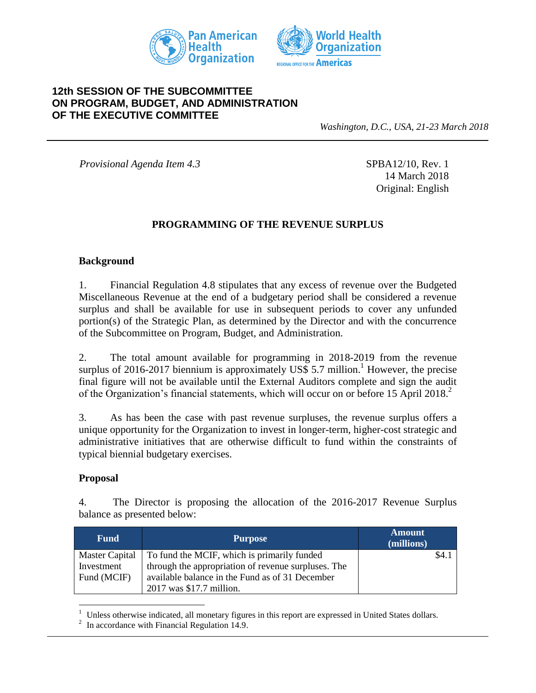



## **12th SESSION OF THE SUBCOMMITTEE ON PROGRAM, BUDGET, AND ADMINISTRATION OF THE EXECUTIVE COMMITTEE**

*Washington, D.C., USA, 21-23 March 2018*

*Provisional Agenda Item 4.3* SPBA12/10, Rev. 1

14 March 2018 Original: English

### **PROGRAMMING OF THE REVENUE SURPLUS**

#### **Background**

1. Financial Regulation 4.8 stipulates that any excess of revenue over the Budgeted Miscellaneous Revenue at the end of a budgetary period shall be considered a revenue surplus and shall be available for use in subsequent periods to cover any unfunded portion(s) of the Strategic Plan, as determined by the Director and with the concurrence of the Subcommittee on Program, Budget, and Administration.

2. The total amount available for programming in 2018-2019 from the revenue surplus of 2016-2017 biennium is approximately US\$ 5.7 million.<sup>1</sup> However, the precise final figure will not be available until the External Auditors complete and sign the audit of the Organization's financial statements, which will occur on or before 15 April 2018. 2

3. As has been the case with past revenue surpluses, the revenue surplus offers a unique opportunity for the Organization to invest in longer-term, higher-cost strategic and administrative initiatives that are otherwise difficult to fund within the constraints of typical biennial budgetary exercises.

#### **Proposal**

4. The Director is proposing the allocation of the 2016-2017 Revenue Surplus balance as presented below:

| <b>Fund</b> | <b>Purpose</b>                                               | <b>Amount</b><br>(millions) |      |
|-------------|--------------------------------------------------------------|-----------------------------|------|
|             | Master Capital   To fund the MCIF, which is primarily funded |                             | \$4. |
| Investment  | through the appropriation of revenue surpluses. The          |                             |      |
| Fund (MCIF) | available balance in the Fund as of 31 December              |                             |      |
|             | 2017 was \$17.7 million.                                     |                             |      |

 $\overline{a}$  $1$  Unless otherwise indicated, all monetary figures in this report are expressed in United States dollars.

<sup>&</sup>lt;sup>2</sup> In accordance with Financial Regulation 14.9.